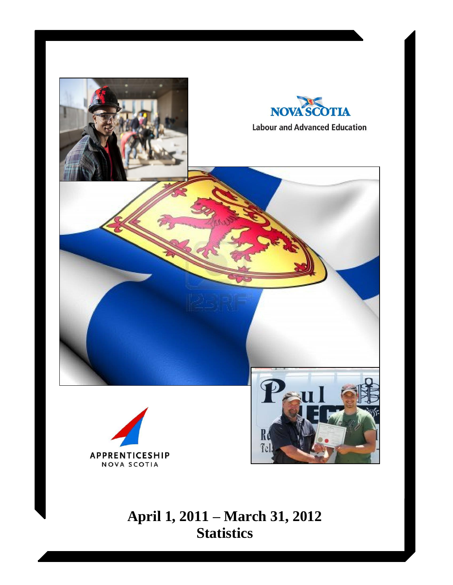

# **April 1, 2011 – March 31, 2012 Statistics**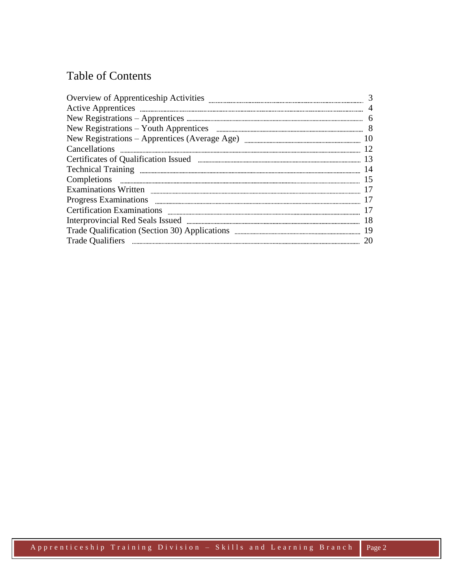## Table of Contents

| Overview of Apprenticeship Activities | 3              |
|---------------------------------------|----------------|
|                                       | $\overline{4}$ |
|                                       | 6              |
|                                       |                |
|                                       |                |
|                                       | 12             |
|                                       |                |
|                                       | 14             |
| Completions                           | 15             |
|                                       | 17             |
|                                       | 17             |
|                                       | 17             |
|                                       | 18             |
|                                       | 19             |
|                                       | 20             |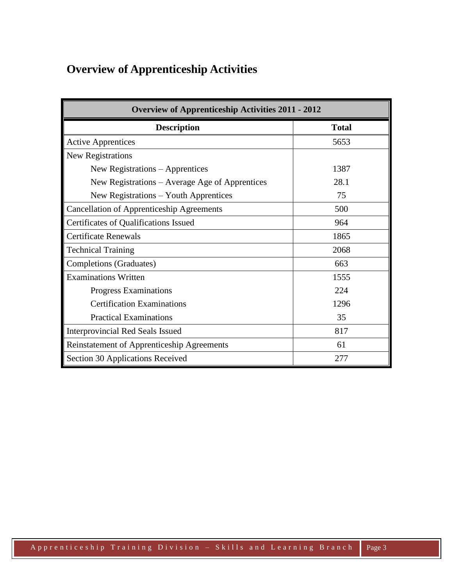## **Overview of Apprenticeship Activities**

| <b>Overview of Apprenticeship Activities 2011 - 2012</b> |              |  |  |  |  |
|----------------------------------------------------------|--------------|--|--|--|--|
| <b>Description</b>                                       | <b>Total</b> |  |  |  |  |
| <b>Active Apprentices</b>                                | 5653         |  |  |  |  |
| New Registrations                                        |              |  |  |  |  |
| New Registrations - Apprentices                          | 1387         |  |  |  |  |
| New Registrations – Average Age of Apprentices           | 28.1         |  |  |  |  |
| New Registrations – Youth Apprentices                    | 75           |  |  |  |  |
| <b>Cancellation of Apprenticeship Agreements</b>         | 500          |  |  |  |  |
| Certificates of Qualifications Issued                    | 964          |  |  |  |  |
| <b>Certificate Renewals</b>                              | 1865         |  |  |  |  |
| <b>Technical Training</b>                                | 2068         |  |  |  |  |
| <b>Completions (Graduates)</b>                           | 663          |  |  |  |  |
| <b>Examinations Written</b>                              | 1555         |  |  |  |  |
| Progress Examinations                                    | 224          |  |  |  |  |
| <b>Certification Examinations</b>                        | 1296         |  |  |  |  |
| <b>Practical Examinations</b>                            | 35           |  |  |  |  |
| <b>Interprovincial Red Seals Issued</b>                  | 817          |  |  |  |  |
| Reinstatement of Apprenticeship Agreements               | 61           |  |  |  |  |
| Section 30 Applications Received                         | 277          |  |  |  |  |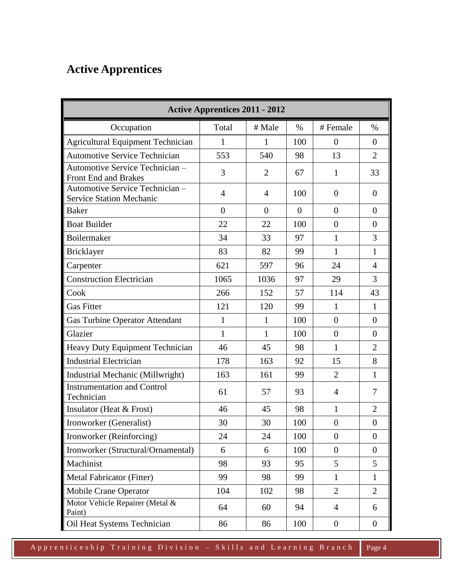# **Active Apprentices**

| <b>Active Apprentices 2011 - 2012</b>                             |                |                |                |                  |                  |
|-------------------------------------------------------------------|----------------|----------------|----------------|------------------|------------------|
| Occupation                                                        | Total          | # Male         | $\%$           | # Female         | $\%$             |
| <b>Agricultural Equipment Technician</b>                          | $\mathbf{1}$   | $\mathbf{1}$   | 100            | $\overline{0}$   | $\theta$         |
| <b>Automotive Service Technician</b>                              | 553            | 540            | 98             | 13               | $\overline{2}$   |
| Automotive Service Technician -<br><b>Front End and Brakes</b>    | 3              | $\overline{2}$ | 67             | $\mathbf{1}$     | 33               |
| Automotive Service Technician-<br><b>Service Station Mechanic</b> | $\overline{4}$ | $\overline{4}$ | 100            | $\overline{0}$   | $\overline{0}$   |
| <b>Baker</b>                                                      | $\theta$       | $\overline{0}$ | $\overline{0}$ | $\overline{0}$   | $\overline{0}$   |
| <b>Boat Builder</b>                                               | 22             | 22             | 100            | $\overline{0}$   | $\overline{0}$   |
| Boilermaker                                                       | 34             | 33             | 97             | $\mathbf{1}$     | 3                |
| <b>Bricklayer</b>                                                 | 83             | 82             | 99             | $\mathbf{1}$     | $\mathbf{1}$     |
| Carpenter                                                         | 621            | 597            | 96             | 24               | $\overline{4}$   |
| <b>Construction Electrician</b>                                   | 1065           | 1036           | 97             | 29               | 3                |
| Cook                                                              | 266            | 152            | 57             | 114              | 43               |
| <b>Gas Fitter</b>                                                 | 121            | 120            | 99             | $\mathbf{1}$     | $\mathbf{1}$     |
| <b>Gas Turbine Operator Attendant</b>                             | $\mathbf{1}$   | $\mathbf{1}$   | 100            | $\overline{0}$   | $\overline{0}$   |
| Glazier                                                           | $\mathbf{1}$   | $\mathbf{1}$   | 100            | $\overline{0}$   | $\overline{0}$   |
| Heavy Duty Equipment Technician                                   | 46             | 45             | 98             | $\mathbf{1}$     | $\overline{2}$   |
| <b>Industrial Electrician</b>                                     | 178            | 163            | 92             | 15               | 8                |
| Industrial Mechanic (Millwright)                                  | 163            | 161            | 99             | $\overline{2}$   | $\mathbf{1}$     |
| <b>Instrumentation and Control</b><br>Technician                  | 61             | 57             | 93             | $\overline{4}$   | $\tau$           |
| Insulator (Heat $&$ Frost)                                        | 46             | 45             | 98             | $\mathbf{1}$     | $\overline{2}$   |
| Ironworker (Generalist)                                           | 30             | 30             | 100            | $\boldsymbol{0}$ | $\boldsymbol{0}$ |
| Ironworker (Reinforcing)                                          | 24             | 24             | 100            | $\overline{0}$   | $\boldsymbol{0}$ |
| Ironworker (Structural/Ornamental)                                | 6              | 6              | 100            | $\overline{0}$   | $\overline{0}$   |
| Machinist                                                         | 98             | 93             | 95             | 5                | 5                |
| Metal Fabricator (Fitter)                                         | 99             | 98             | 99             | $\mathbf{1}$     | $\mathbf{1}$     |
| Mobile Crane Operator                                             | 104            | 102            | 98             | $\overline{2}$   | $\overline{2}$   |
| Motor Vehicle Repairer (Metal &<br>Paint)                         | 64             | 60             | 94             | 4                | 6                |
| Oil Heat Systems Technician                                       | 86             | 86             | 100            | $\boldsymbol{0}$ | $\boldsymbol{0}$ |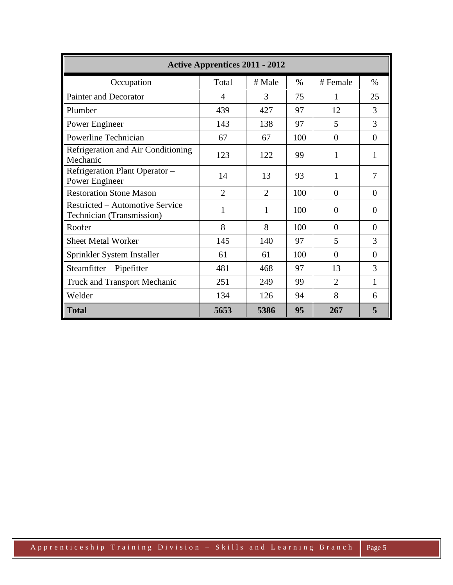| <b>Active Apprentices 2011 - 2012</b>                               |                |                |               |                |          |  |  |
|---------------------------------------------------------------------|----------------|----------------|---------------|----------------|----------|--|--|
| Occupation                                                          | Total          | # Male         | $\frac{0}{0}$ | # Female       | $\%$     |  |  |
| <b>Painter and Decorator</b>                                        | 4              | 3              | 75            | 1              | 25       |  |  |
| Plumber                                                             | 439            | 427            | 97            | 12             | 3        |  |  |
| Power Engineer                                                      | 143            | 138            | 97            | 5              | 3        |  |  |
| Powerline Technician                                                | 67             | 67             | 100           | $\overline{0}$ | $\theta$ |  |  |
| Refrigeration and Air Conditioning<br>Mechanic                      | 123            | 122            | 99            | 1              | 1        |  |  |
| Refrigeration Plant Operator -<br>Power Engineer                    | 14             | 13             | 93            | $\mathbf{1}$   | 7        |  |  |
| <b>Restoration Stone Mason</b>                                      | $\overline{2}$ | $\overline{2}$ | 100           | $\overline{0}$ | 0        |  |  |
| Restricted – Automotive Service<br><b>Technician (Transmission)</b> | 1              | 1              | 100           | $\theta$       | $\Omega$ |  |  |
| Roofer                                                              | 8              | 8              | 100           | $\theta$       | $\Omega$ |  |  |
| <b>Sheet Metal Worker</b>                                           | 145            | 140            | 97            | 5              | 3        |  |  |
| Sprinkler System Installer                                          | 61             | 61             | 100           | $\theta$       | $\theta$ |  |  |
| Steamfitter - Pipefitter                                            | 481            | 468            | 97            | 13             | 3        |  |  |
| <b>Truck and Transport Mechanic</b>                                 | 251            | 249            | 99            | $\overline{2}$ | 1        |  |  |
| Welder                                                              | 134            | 126            | 94            | 8              | 6        |  |  |
| <b>Total</b>                                                        | 5653           | 5386           | 95            | 267            | 5        |  |  |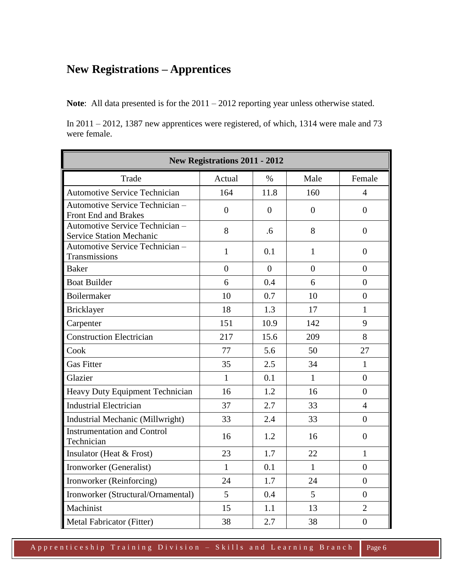### **New Registrations – Apprentices**

**Note**: All data presented is for the 2011 – 2012 reporting year unless otherwise stated.

In 2011 – 2012, 1387 new apprentices were registered, of which, 1314 were male and 73 were female.

| New Registrations 2011 - 2012                                      |                  |                |                  |                  |  |  |
|--------------------------------------------------------------------|------------------|----------------|------------------|------------------|--|--|
| Trade                                                              | Actual           | $\%$           | Male             | Female           |  |  |
| <b>Automotive Service Technician</b>                               | 164              | 11.8           | 160              | $\overline{4}$   |  |  |
| Automotive Service Technician -<br>Front End and Brakes            | $\boldsymbol{0}$ | $\overline{0}$ | $\boldsymbol{0}$ | $\Omega$         |  |  |
| Automotive Service Technician -<br><b>Service Station Mechanic</b> | 8                | .6             | 8                | $\overline{0}$   |  |  |
| Automotive Service Technician -<br>Transmissions                   | $\mathbf{1}$     | 0.1            | $\mathbf{1}$     | $\overline{0}$   |  |  |
| <b>Baker</b>                                                       | $\overline{0}$   | $\Omega$       | $\overline{0}$   | $\overline{0}$   |  |  |
| <b>Boat Builder</b>                                                | 6                | 0.4            | 6                | $\Omega$         |  |  |
| Boilermaker                                                        | 10               | 0.7            | 10               | $\boldsymbol{0}$ |  |  |
| Bricklayer                                                         | 18               | 1.3            | 17               | $\mathbf{1}$     |  |  |
| Carpenter                                                          | 151              | 10.9           | 142              | 9                |  |  |
| <b>Construction Electrician</b>                                    | 217              | 15.6           | 209              | 8                |  |  |
| Cook                                                               | 77               | 5.6            | 50               | 27               |  |  |
| <b>Gas Fitter</b>                                                  | 35               | 2.5            | 34               | $\mathbf{1}$     |  |  |
| Glazier                                                            | $\mathbf{1}$     | 0.1            | $\mathbf{1}$     | $\theta$         |  |  |
| Heavy Duty Equipment Technician                                    | 16               | 1.2            | 16               | $\overline{0}$   |  |  |
| <b>Industrial Electrician</b>                                      | 37               | 2.7            | 33               | $\overline{4}$   |  |  |
| Industrial Mechanic (Millwright)                                   | 33               | 2.4            | 33               | $\theta$         |  |  |
| <b>Instrumentation and Control</b><br>Technician                   | 16               | 1.2            | 16               | $\overline{0}$   |  |  |
| Insulator (Heat & Frost)                                           | 23               | 1.7            | 22               | $\mathbf{1}$     |  |  |
| Ironworker (Generalist)                                            | $\mathbf{1}$     | 0.1            | $\mathbf{1}$     | $\theta$         |  |  |
| Ironworker (Reinforcing)                                           | 24               | 1.7            | 24               | $\overline{0}$   |  |  |
| Ironworker (Structural/Ornamental)                                 | 5                | 0.4            | $5\overline{)}$  | $\overline{0}$   |  |  |
| Machinist                                                          | 15               | 1.1            | 13               | $\overline{2}$   |  |  |
| Metal Fabricator (Fitter)                                          | 38               | 2.7            | 38               | $\overline{0}$   |  |  |

A p p r e n t i c e s h i p T r a i n i n g D i v i s i o n – S k i l l s a n d L e a r n i n g B r a n c h Page 6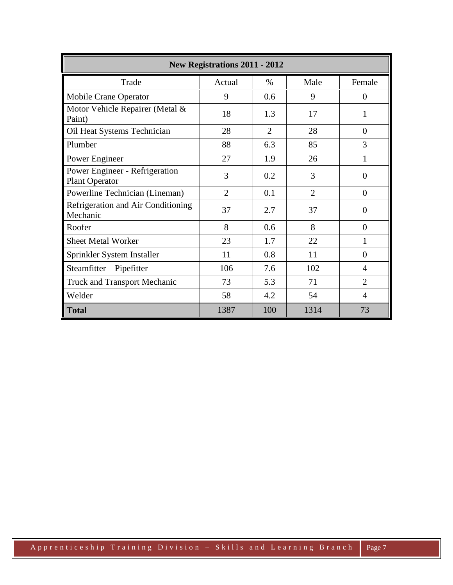| <b>New Registrations 2011 - 2012</b>                    |                |                |                |                |  |  |  |
|---------------------------------------------------------|----------------|----------------|----------------|----------------|--|--|--|
| Trade                                                   | Actual         | $\%$           | Male           | Female         |  |  |  |
| Mobile Crane Operator                                   | 9              | 0.6            | 9              | $\overline{0}$ |  |  |  |
| Motor Vehicle Repairer (Metal &<br>Paint)               | 18             | 1.3            | 17             | 1              |  |  |  |
| Oil Heat Systems Technician                             | 28             | $\overline{2}$ | 28             | $\overline{0}$ |  |  |  |
| Plumber                                                 | 88             | 6.3            | 85             | 3              |  |  |  |
| Power Engineer                                          | 27             | 1.9            | 26             | 1              |  |  |  |
| Power Engineer - Refrigeration<br><b>Plant Operator</b> | 3              | 0.2            | 3              | $\theta$       |  |  |  |
| Powerline Technician (Lineman)                          | $\overline{2}$ | 0.1            | $\overline{2}$ | $\theta$       |  |  |  |
| Refrigeration and Air Conditioning<br>Mechanic          | 37             | 2.7            | 37             | $\theta$       |  |  |  |
| Roofer                                                  | 8              | 0.6            | 8              | $\Omega$       |  |  |  |
| Sheet Metal Worker                                      | 23             | 1.7            | 22             | 1              |  |  |  |
| Sprinkler System Installer                              | 11             | 0.8            | 11             | $\Omega$       |  |  |  |
| Steamfitter – Pipefitter                                | 106            | 7.6            | 102            | 4              |  |  |  |
| <b>Truck and Transport Mechanic</b>                     | 73             | 5.3            | 71             | $\overline{2}$ |  |  |  |
| Welder                                                  | 58             | 4.2            | 54             | $\overline{4}$ |  |  |  |
| <b>Total</b>                                            | 1387           | 100            | 1314           | 73             |  |  |  |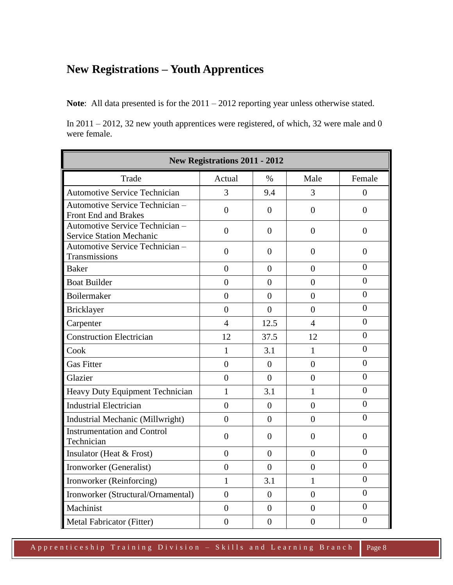## **New Registrations – Youth Apprentices**

**Note**: All data presented is for the 2011 – 2012 reporting year unless otherwise stated.

In 2011 – 2012, 32 new youth apprentices were registered, of which, 32 were male and 0 were female.

| <b>New Registrations 2011 - 2012</b>                               |                |                |                |                  |  |  |
|--------------------------------------------------------------------|----------------|----------------|----------------|------------------|--|--|
| Trade                                                              | Actual         | $\%$           | Male           | Female           |  |  |
| <b>Automotive Service Technician</b>                               | 3              | 9.4            | 3              | $\theta$         |  |  |
| Automotive Service Technician-<br>Front End and Brakes             | $\overline{0}$ | $\overline{0}$ | $\overline{0}$ | $\overline{0}$   |  |  |
| Automotive Service Technician -<br><b>Service Station Mechanic</b> | $\overline{0}$ | $\overline{0}$ | $\overline{0}$ | $\overline{0}$   |  |  |
| Automotive Service Technician -<br>Transmissions                   | $\overline{0}$ | $\overline{0}$ | $\overline{0}$ | $\boldsymbol{0}$ |  |  |
| <b>Baker</b>                                                       | $\theta$       | $\Omega$       | $\theta$       | $\overline{0}$   |  |  |
| <b>Boat Builder</b>                                                | $\overline{0}$ | $\overline{0}$ | $\overline{0}$ | $\overline{0}$   |  |  |
| Boilermaker                                                        | $\overline{0}$ | $\Omega$       | $\overline{0}$ | $\theta$         |  |  |
| Bricklayer                                                         | $\overline{0}$ | $\theta$       | $\theta$       | $\overline{0}$   |  |  |
| Carpenter                                                          | $\overline{4}$ | 12.5           | 4              | $\theta$         |  |  |
| <b>Construction Electrician</b>                                    | 12             | 37.5           | 12             | $\theta$         |  |  |
| Cook                                                               | $\mathbf{1}$   | 3.1            | $\mathbf{1}$   | $\boldsymbol{0}$ |  |  |
| <b>Gas Fitter</b>                                                  | $\overline{0}$ | $\overline{0}$ | $\overline{0}$ | 0                |  |  |
| Glazier                                                            | $\theta$       | $\theta$       | $\theta$       | $\theta$         |  |  |
| Heavy Duty Equipment Technician                                    | $\mathbf{1}$   | 3.1            | 1              | $\overline{0}$   |  |  |
| <b>Industrial Electrician</b>                                      | $\overline{0}$ | $\overline{0}$ | $\overline{0}$ | $\overline{0}$   |  |  |
| Industrial Mechanic (Millwright)                                   | $\theta$       | $\theta$       | $\theta$       | $\theta$         |  |  |
| <b>Instrumentation and Control</b><br>Technician                   | $\overline{0}$ | 0              | $\Omega$       | $\Omega$         |  |  |
| Insulator (Heat & Frost)                                           | $\overline{0}$ | $\theta$       | $\theta$       | $\boldsymbol{0}$ |  |  |
| Ironworker (Generalist)                                            | $\theta$       | $\Omega$       | $\theta$       | $\overline{0}$   |  |  |
| Ironworker (Reinforcing)                                           | $\mathbf{1}$   | 3.1            | 1              | $\overline{0}$   |  |  |
| Ironworker (Structural/Ornamental)                                 | $\overline{0}$ | $\overline{0}$ | $\overline{0}$ | $\overline{0}$   |  |  |
| Machinist                                                          | $\overline{0}$ | $\overline{0}$ | $\overline{0}$ | $\boldsymbol{0}$ |  |  |
| Metal Fabricator (Fitter)                                          | $\overline{0}$ | $\overline{0}$ | $\overline{0}$ | 0                |  |  |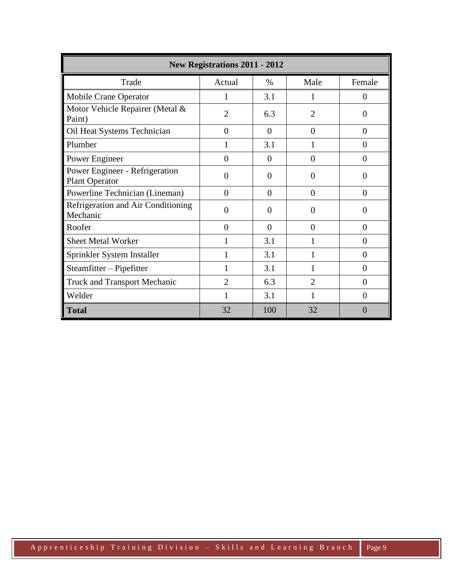| <b>New Registrations 2011 - 2012</b>                    |                |                |                             |                |  |  |  |
|---------------------------------------------------------|----------------|----------------|-----------------------------|----------------|--|--|--|
| Trade                                                   | Actual         | $\%$           | Male                        | Female         |  |  |  |
| Mobile Crane Operator                                   | 1              | 3.1            | T                           | $\overline{0}$ |  |  |  |
| Motor Vehicle Repairer (Metal &<br>Paint)               | $\overline{2}$ | 6.3            | $\mathcal{D}_{\mathcal{L}}$ | 0              |  |  |  |
| Oil Heat Systems Technician                             | $\overline{0}$ | $\overline{0}$ | $\overline{0}$              | $\overline{0}$ |  |  |  |
| Plumber                                                 | 1              | 3.1            |                             | $\overline{0}$ |  |  |  |
| Power Engineer                                          | $\overline{0}$ | 0              | $\theta$                    | $\overline{0}$ |  |  |  |
| Power Engineer - Refrigeration<br><b>Plant Operator</b> | $\theta$       | 0              | $\Omega$                    | $\Omega$       |  |  |  |
| Powerline Technician (Lineman)                          | $\theta$       | $\theta$       | $\Omega$                    | $\theta$       |  |  |  |
| Refrigeration and Air Conditioning<br>Mechanic          | $\theta$       | 0              | $\Omega$                    | $\Omega$       |  |  |  |
| Roofer                                                  | $\theta$       | $\theta$       | $\Omega$                    | $\Omega$       |  |  |  |
| <b>Sheet Metal Worker</b>                               | 1              | 3.1            |                             | $\Omega$       |  |  |  |
| Sprinkler System Installer                              | 1              | 3.1            |                             | $\Omega$       |  |  |  |
| Steamfitter – Pipefitter                                | 1              | 3.1            | 1                           | $\Omega$       |  |  |  |
| <b>Truck and Transport Mechanic</b>                     | $\overline{2}$ | 6.3            | $\overline{2}$              | $\theta$       |  |  |  |
| Welder                                                  | 1              | 3.1            | 1                           | $\Omega$       |  |  |  |
| <b>Total</b>                                            | 32             | 100            | 32                          | $\Omega$       |  |  |  |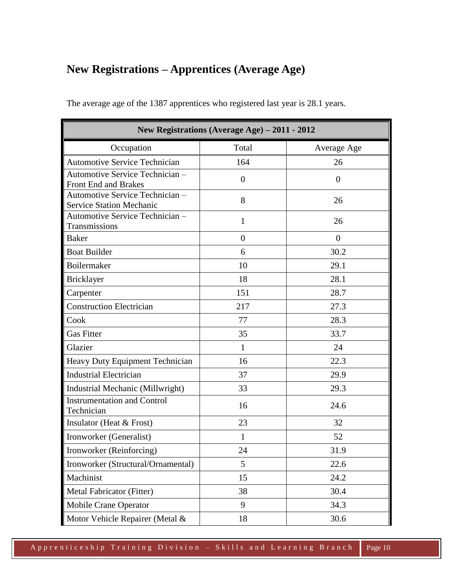## **New Registrations – Apprentices (Average Age)**

| New Registrations (Average Age) – 2011 - 2012                      |                |                |  |  |  |
|--------------------------------------------------------------------|----------------|----------------|--|--|--|
| Occupation                                                         | Total          | Average Age    |  |  |  |
| <b>Automotive Service Technician</b>                               | 164            | 26             |  |  |  |
| Automotive Service Technician -<br>Front End and Brakes            | $\overline{0}$ | $\theta$       |  |  |  |
| Automotive Service Technician -<br><b>Service Station Mechanic</b> | 8              | 26             |  |  |  |
| Automotive Service Technician -<br>Transmissions                   | $\mathbf{1}$   | 26             |  |  |  |
| <b>Baker</b>                                                       | $\overline{0}$ | $\overline{0}$ |  |  |  |
| <b>Boat Builder</b>                                                | 6              | 30.2           |  |  |  |
| Boilermaker                                                        | 10             | 29.1           |  |  |  |
| <b>Bricklayer</b>                                                  | 18             | 28.1           |  |  |  |
| Carpenter                                                          | 151            | 28.7           |  |  |  |
| <b>Construction Electrician</b>                                    | 217            | 27.3           |  |  |  |
| Cook                                                               | 77             | 28.3           |  |  |  |
| <b>Gas Fitter</b>                                                  | 35             | 33.7           |  |  |  |
| Glazier                                                            | $\mathbf{1}$   | 24             |  |  |  |
| Heavy Duty Equipment Technician                                    | 16             | 22.3           |  |  |  |
| <b>Industrial Electrician</b>                                      | 37             | 29.9           |  |  |  |
| Industrial Mechanic (Millwright)                                   | 33             | 29.3           |  |  |  |
| <b>Instrumentation and Control</b><br>Technician                   | 16             | 24.6           |  |  |  |
| Insulator (Heat & Frost)                                           | 23             | 32             |  |  |  |
| Ironworker (Generalist)                                            | 1              | 52             |  |  |  |
| Ironworker (Reinforcing)                                           | 24             | 31.9           |  |  |  |
| Ironworker (Structural/Ornamental)                                 | 5              | 22.6           |  |  |  |
| Machinist                                                          | 15             | 24.2           |  |  |  |
| Metal Fabricator (Fitter)                                          | 38             | 30.4           |  |  |  |
| <b>Mobile Crane Operator</b>                                       | 9              | 34.3           |  |  |  |
| Motor Vehicle Repairer (Metal &                                    | 18             | 30.6           |  |  |  |

The average age of the 1387 apprentices who registered last year is 28.1 years.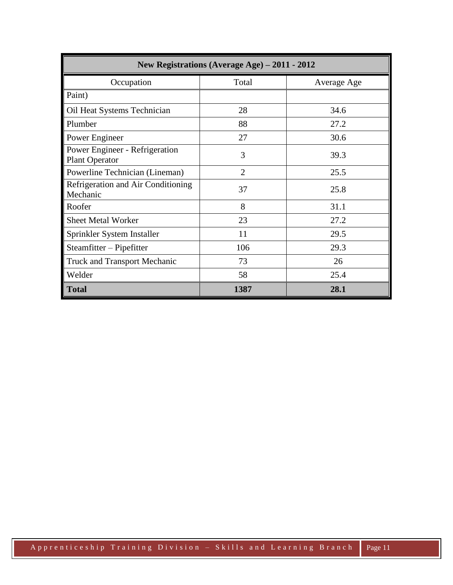| New Registrations (Average Age) – 2011 - 2012           |                |             |  |  |  |  |
|---------------------------------------------------------|----------------|-------------|--|--|--|--|
| Occupation                                              | Total          | Average Age |  |  |  |  |
| Paint)                                                  |                |             |  |  |  |  |
| Oil Heat Systems Technician                             | 28             | 34.6        |  |  |  |  |
| Plumber                                                 | 88             | 27.2        |  |  |  |  |
| Power Engineer                                          | 27             | 30.6        |  |  |  |  |
| Power Engineer - Refrigeration<br><b>Plant Operator</b> | 3              | 39.3        |  |  |  |  |
| Powerline Technician (Lineman)                          | $\overline{2}$ | 25.5        |  |  |  |  |
| Refrigeration and Air Conditioning<br>Mechanic          | 37             | 25.8        |  |  |  |  |
| Roofer                                                  | 8              | 31.1        |  |  |  |  |
| <b>Sheet Metal Worker</b>                               | 23             | 27.2        |  |  |  |  |
| Sprinkler System Installer                              | 11             | 29.5        |  |  |  |  |
| Steamfitter – Pipefitter                                | 106            | 29.3        |  |  |  |  |
| <b>Truck and Transport Mechanic</b>                     | 73             | 26          |  |  |  |  |
| Welder                                                  | 58             | 25.4        |  |  |  |  |
| <b>Total</b>                                            | 1387           | 28.1        |  |  |  |  |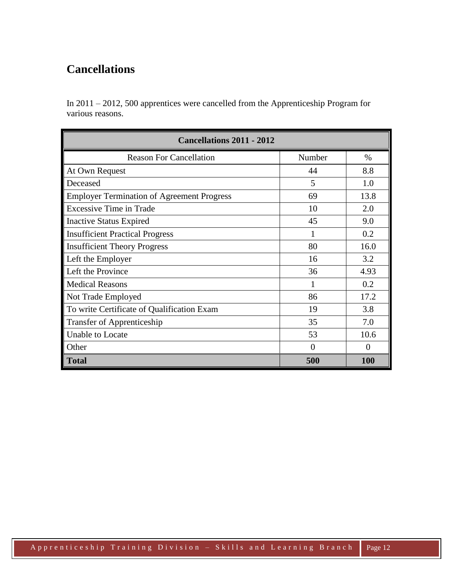### **Cancellations**

In 2011 – 2012, 500 apprentices were cancelled from the Apprenticeship Program for various reasons.

| <b>Cancellations 2011 - 2012</b>                  |          |            |  |  |  |  |
|---------------------------------------------------|----------|------------|--|--|--|--|
| <b>Reason For Cancellation</b>                    | Number   | %          |  |  |  |  |
| At Own Request                                    | 44       | 8.8        |  |  |  |  |
| Deceased                                          | 5        | 1.0        |  |  |  |  |
| <b>Employer Termination of Agreement Progress</b> | 69       | 13.8       |  |  |  |  |
| <b>Excessive Time in Trade</b>                    | 10       | 2.0        |  |  |  |  |
| <b>Inactive Status Expired</b>                    | 45       | 9.0        |  |  |  |  |
| <b>Insufficient Practical Progress</b>            |          | 0.2        |  |  |  |  |
| <b>Insufficient Theory Progress</b>               | 80       | 16.0       |  |  |  |  |
| Left the Employer                                 | 16       | 3.2        |  |  |  |  |
| Left the Province                                 | 36       | 4.93       |  |  |  |  |
| <b>Medical Reasons</b>                            | 1        | 0.2        |  |  |  |  |
| Not Trade Employed                                | 86       | 17.2       |  |  |  |  |
| To write Certificate of Qualification Exam        | 19       | 3.8        |  |  |  |  |
| <b>Transfer of Apprenticeship</b>                 | 35       | 7.0        |  |  |  |  |
| Unable to Locate                                  | 53       | 10.6       |  |  |  |  |
| Other                                             | $\Omega$ | $\Omega$   |  |  |  |  |
| <b>Total</b>                                      | 500      | <b>100</b> |  |  |  |  |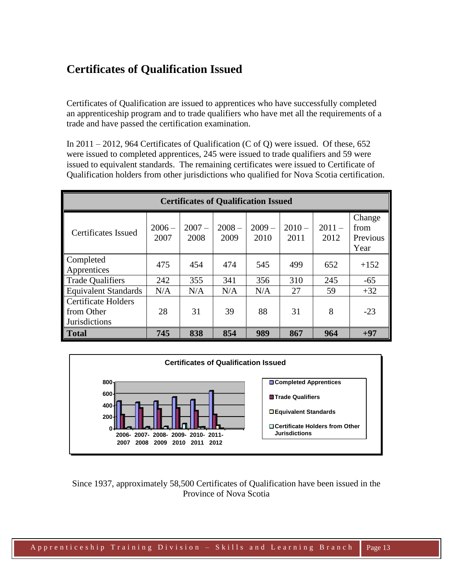### **Certificates of Qualification Issued**

Certificates of Qualification are issued to apprentices who have successfully completed an apprenticeship program and to trade qualifiers who have met all the requirements of a trade and have passed the certification examination.

In  $2011 - 2012$ , 964 Certificates of Qualification (C of Q) were issued. Of these, 652 were issued to completed apprentices, 245 were issued to trade qualifiers and 59 were issued to equivalent standards. The remaining certificates were issued to Certificate of Qualification holders from other jurisdictions who qualified for Nova Scotia certification.

| <b>Certificates of Qualification Issued</b>               |                  |                  |                  |                 |                  |                  |                                    |
|-----------------------------------------------------------|------------------|------------------|------------------|-----------------|------------------|------------------|------------------------------------|
| Certificates Issued                                       | $2006 -$<br>2007 | $2007 -$<br>2008 | $2008 -$<br>2009 | $2009-$<br>2010 | $2010 -$<br>2011 | $2011 -$<br>2012 | Change<br>from<br>Previous<br>Year |
| Completed<br>Apprentices                                  | 475              | 454              | 474              | 545             | 499              | 652              | $+152$                             |
| <b>Trade Qualifiers</b>                                   | 242              | 355              | 341              | 356             | 310              | 245              | $-65$                              |
| <b>Equivalent Standards</b>                               | N/A              | N/A              | N/A              | N/A             | 27               | 59               | $+32$                              |
| <b>Certificate Holders</b><br>from Other<br>Jurisdictions | 28               | 31               | 39               | 88              | 31               | 8                | $-23$                              |
| <b>Total</b>                                              | 745              | 838              | 854              | 989             | 867              | 964              | $+97$                              |



Since 1937, approximately 58,500 Certificates of Qualification have been issued in the Province of Nova Scotia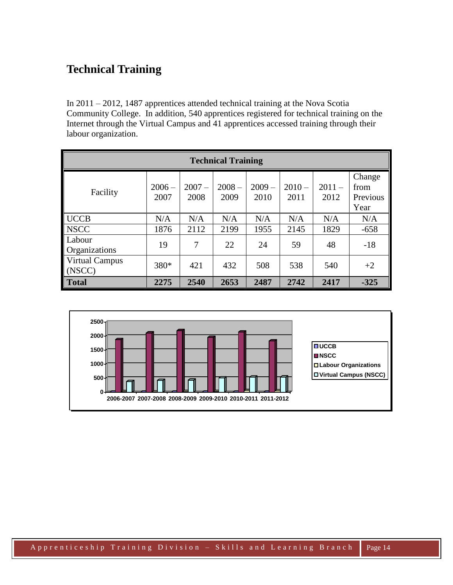#### **Technical Training**

In 2011 – 2012, 1487 apprentices attended technical training at the Nova Scotia Community College. In addition, 540 apprentices registered for technical training on the Internet through the Virtual Campus and 41 apprentices accessed training through their labour organization.

| <b>Technical Training</b>       |                  |                  |                  |                  |                  |                  |                                    |  |  |  |
|---------------------------------|------------------|------------------|------------------|------------------|------------------|------------------|------------------------------------|--|--|--|
| Facility                        | $2006 -$<br>2007 | $2007 -$<br>2008 | $2008 -$<br>2009 | $2009 -$<br>2010 | $2010 -$<br>2011 | $2011 -$<br>2012 | Change<br>from<br>Previous<br>Year |  |  |  |
| <b>UCCB</b>                     | N/A              | N/A              | N/A              | N/A              | N/A              | N/A              | N/A                                |  |  |  |
| <b>NSCC</b>                     | 1876             | 2112             | 2199             | 1955             | 2145             | 1829             | $-658$                             |  |  |  |
| Labour<br><b>Organizations</b>  | 19               | 7                | 22               | 24               | 59               | 48               | $-18$                              |  |  |  |
| <b>Virtual Campus</b><br>(NSCC) | 380*             | 421              | 432              | 508              | 538              | 540              | $+2$                               |  |  |  |
| <b>Total</b>                    | 2275             | 2540             | 2653             | 2487             | 2742             | 2417             | $-325$                             |  |  |  |

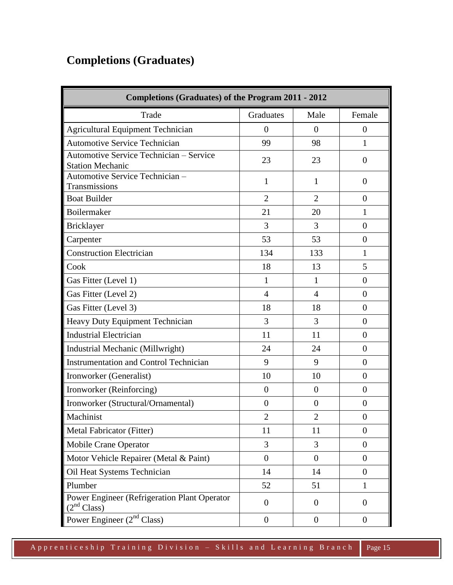# **Completions (Graduates)**

| <b>Completions (Graduates) of the Program 2011 - 2012</b>                      |                  |                |                  |  |  |  |  |
|--------------------------------------------------------------------------------|------------------|----------------|------------------|--|--|--|--|
| Trade                                                                          | Graduates        | Male           | Female           |  |  |  |  |
| <b>Agricultural Equipment Technician</b>                                       | $\overline{0}$   | $\overline{0}$ | $\theta$         |  |  |  |  |
| <b>Automotive Service Technician</b>                                           | 99               | 98             | 1                |  |  |  |  |
| Automotive Service Technician - Service<br><b>Station Mechanic</b>             | 23               | 23             | $\theta$         |  |  |  |  |
| Automotive Service Technician-<br>Transmissions                                | 1                | 1              | $\theta$         |  |  |  |  |
| <b>Boat Builder</b>                                                            | $\overline{2}$   | $\overline{2}$ | $\overline{0}$   |  |  |  |  |
| Boilermaker                                                                    | 21               | 20             | 1                |  |  |  |  |
| Bricklayer                                                                     | 3                | 3              | $\theta$         |  |  |  |  |
| Carpenter                                                                      | 53               | 53             | $\theta$         |  |  |  |  |
| <b>Construction Electrician</b>                                                | 134              | 133            | $\mathbf{1}$     |  |  |  |  |
| Cook                                                                           | 18               | 13             | 5                |  |  |  |  |
| Gas Fitter (Level 1)                                                           | 1                | $\mathbf{1}$   | $\overline{0}$   |  |  |  |  |
| Gas Fitter (Level 2)                                                           | $\overline{4}$   | $\overline{4}$ | $\overline{0}$   |  |  |  |  |
| Gas Fitter (Level 3)                                                           | 18               | 18             | $\overline{0}$   |  |  |  |  |
| Heavy Duty Equipment Technician                                                | 3                | 3              | $\overline{0}$   |  |  |  |  |
| <b>Industrial Electrician</b>                                                  | 11               | 11             | $\boldsymbol{0}$ |  |  |  |  |
| Industrial Mechanic (Millwright)                                               | 24               | 24             | $\overline{0}$   |  |  |  |  |
| <b>Instrumentation and Control Technician</b>                                  | 9                | 9              | $\overline{0}$   |  |  |  |  |
| Ironworker (Generalist)                                                        | 10               | 10             | $\overline{0}$   |  |  |  |  |
| Ironworker (Reinforcing)                                                       | $\overline{0}$   | $\overline{0}$ | $\boldsymbol{0}$ |  |  |  |  |
| Ironworker (Structural/Ornamental)                                             | $\overline{0}$   | $\theta$       | $\boldsymbol{0}$ |  |  |  |  |
| Machinist                                                                      | $\overline{2}$   | $\overline{2}$ | $\theta$         |  |  |  |  |
| Metal Fabricator (Fitter)                                                      | 11               | 11             | $\overline{0}$   |  |  |  |  |
| Mobile Crane Operator                                                          | 3                | 3              | $\mathbf{0}$     |  |  |  |  |
| Motor Vehicle Repairer (Metal & Paint)                                         | $\overline{0}$   | $\mathbf{0}$   | $\mathbf{0}$     |  |  |  |  |
| Oil Heat Systems Technician                                                    | 14               | 14             | $\mathbf{0}$     |  |  |  |  |
| Plumber                                                                        | 52               | 51             | $\mathbf{1}$     |  |  |  |  |
| <b>Power Engineer (Refrigeration Plant Operator</b><br>(2 <sup>nd</sup> Class) | $\overline{0}$   | $\overline{0}$ | $\mathbf{0}$     |  |  |  |  |
| Power Engineer $(2nd Class)$                                                   | $\boldsymbol{0}$ | $\mathbf{0}$   | $\mathbf{0}$     |  |  |  |  |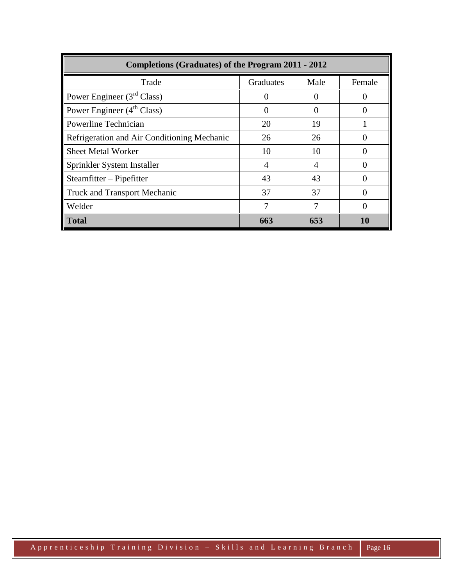| Completions (Graduates) of the Program 2011 - 2012 |                |                   |        |  |  |  |  |
|----------------------------------------------------|----------------|-------------------|--------|--|--|--|--|
| Trade                                              | Graduates      | Male              | Female |  |  |  |  |
| Power Engineer $(3rd Class)$                       | $\Omega$       | $\mathbf{\Omega}$ |        |  |  |  |  |
| Power Engineer $(4th Class)$                       | $\Omega$       | 0                 |        |  |  |  |  |
| Powerline Technician                               | 20             | 19                |        |  |  |  |  |
| Refrigeration and Air Conditioning Mechanic        | 26             | 26                |        |  |  |  |  |
| <b>Sheet Metal Worker</b>                          | 10             | 10                |        |  |  |  |  |
| Sprinkler System Installer                         | $\overline{4}$ | 4                 |        |  |  |  |  |
| Steamfitter – Pipefitter                           | 43             | 43                |        |  |  |  |  |
| <b>Truck and Transport Mechanic</b>                | 37             | 37                |        |  |  |  |  |
| Welder                                             | 7              | 7                 |        |  |  |  |  |
| <b>Total</b>                                       | 663            | 653               | 10     |  |  |  |  |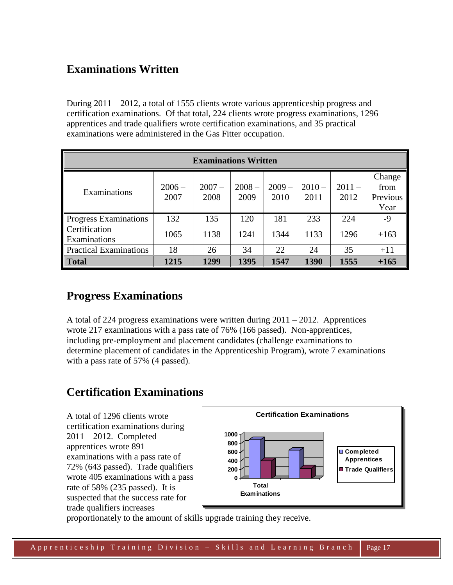#### **Examinations Written**

During 2011 – 2012, a total of 1555 clients wrote various apprenticeship progress and certification examinations. Of that total, 224 clients wrote progress examinations, 1296 apprentices and trade qualifiers wrote certification examinations, and 35 practical examinations were administered in the Gas Fitter occupation.

| <b>Examinations Written</b>   |                  |                  |                  |                  |                  |                  |                                    |  |  |
|-------------------------------|------------------|------------------|------------------|------------------|------------------|------------------|------------------------------------|--|--|
| Examinations                  | $2006 -$<br>2007 | $2007 -$<br>2008 | $2008 -$<br>2009 | $2009 -$<br>2010 | $2010 -$<br>2011 | $2011 -$<br>2012 | Change<br>from<br>Previous<br>Year |  |  |
| Progress Examinations         | 132              | 135              | 120              | 181              | 233              | 224              | $-9$                               |  |  |
| Certification<br>Examinations | 1065             | 1138             | 1241             | 1344             | 1133             | 1296             | $+163$                             |  |  |
| <b>Practical Examinations</b> | 18               | 26               | 34               | 22               | 24               | 35               | $+11$                              |  |  |
| <b>Total</b>                  | 1215             | 1299             | 1395             | 1547             | 1390             | 1555             | $+165$                             |  |  |

#### **Progress Examinations**

A total of 224 progress examinations were written during  $2011 - 2012$ . Apprentices wrote 217 examinations with a pass rate of 76% (166 passed). Non-apprentices, including pre-employment and placement candidates (challenge examinations to determine placement of candidates in the Apprenticeship Program), wrote 7 examinations with a pass rate of 57% (4 passed).

#### **Certification Examinations**

A total of 1296 clients wrote certification examinations during 2011 – 2012. Completed apprentices wrote 891 examinations with a pass rate of 72% (643 passed). Trade qualifiers wrote 405 examinations with a pass rate of 58% (235 passed). It is suspected that the success rate for trade qualifiers increases



proportionately to the amount of skills upgrade training they receive.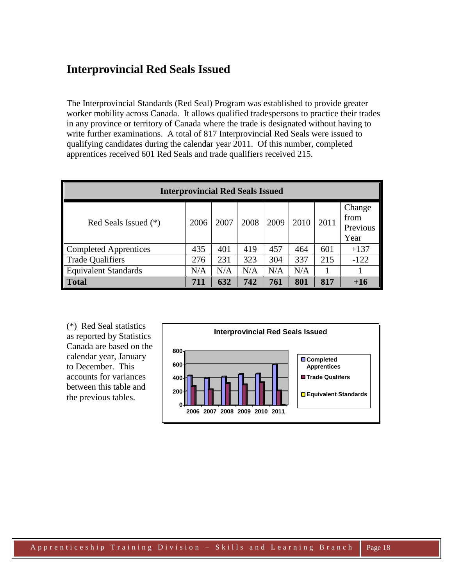#### **Interprovincial Red Seals Issued**

The Interprovincial Standards (Red Seal) Program was established to provide greater worker mobility across Canada. It allows qualified tradespersons to practice their trades in any province or territory of Canada where the trade is designated without having to write further examinations. A total of 817 Interprovincial Red Seals were issued to qualifying candidates during the calendar year 2011. Of this number, completed apprentices received 601 Red Seals and trade qualifiers received 215.

| <b>Interprovincial Red Seals Issued</b> |      |      |      |      |      |      |                                    |  |
|-----------------------------------------|------|------|------|------|------|------|------------------------------------|--|
| Red Seals Issued (*)                    | 2006 | 2007 | 2008 | 2009 | 2010 | 2011 | Change<br>from<br>Previous<br>Year |  |
| Completed Apprentices                   | 435  | 401  | 419  | 457  | 464  | 601  | $+137$                             |  |
| Trade Qualifiers                        | 276  | 231  | 323  | 304  | 337  | 215  | $-122$                             |  |
| <b>Equivalent Standards</b>             | N/A  | N/A  | N/A  | N/A  | N/A  |      |                                    |  |
| <b>Total</b>                            | 711  | 632  | 742  | 761  | 801  | 817  | $+16$                              |  |

(\*) Red Seal statistics as reported by Statistics Canada are based on the calendar year, January to December. This accounts for variances between this table and the previous tables.

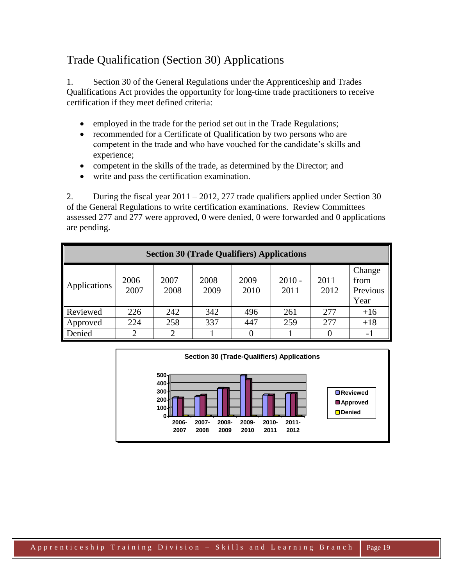## Trade Qualification (Section 30) Applications

1. Section 30 of the General Regulations under the Apprenticeship and Trades Qualifications Act provides the opportunity for long-time trade practitioners to receive certification if they meet defined criteria:

- employed in the trade for the period set out in the Trade Regulations;
- recommended for a Certificate of Qualification by two persons who are competent in the trade and who have vouched for the candidate's skills and experience;
- competent in the skills of the trade, as determined by the Director; and
- write and pass the certification examination.

2. During the fiscal year  $2011 - 2012$ , 277 trade qualifiers applied under Section 30 of the General Regulations to write certification examinations. Review Committees assessed 277 and 277 were approved, 0 were denied, 0 were forwarded and 0 applications are pending.

| <b>Section 30 (Trade Qualifiers) Applications</b> |                             |                  |                  |                  |                  |                  |                                    |  |  |
|---------------------------------------------------|-----------------------------|------------------|------------------|------------------|------------------|------------------|------------------------------------|--|--|
| Applications                                      | $2006 -$<br>2007            | $2007 -$<br>2008 | $2008 -$<br>2009 | $2009 -$<br>2010 | $2010 -$<br>2011 | $2011 -$<br>2012 | Change<br>from<br>Previous<br>Year |  |  |
| Reviewed                                          | 226                         | 242              | 342              | 496              | 261              | 2.77             | $+16$                              |  |  |
| Approved                                          | 224                         | 258              | 337              | 447              | 259              | 277              | $+18$                              |  |  |
| Denied                                            | $\mathcal{D}_{\mathcal{L}}$ | ി                |                  |                  |                  |                  | $-1$                               |  |  |

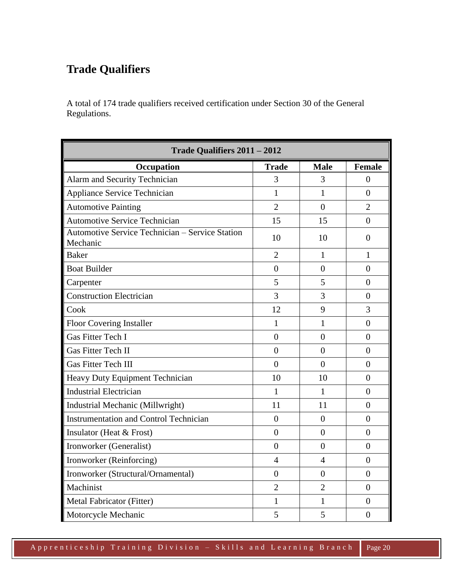## **Trade Qualifiers**

A total of 174 trade qualifiers received certification under Section 30 of the General Regulations.

| Trade Qualifiers 2011 - 2012                                       |                |                |                |  |  |  |  |
|--------------------------------------------------------------------|----------------|----------------|----------------|--|--|--|--|
| Occupation                                                         | <b>Trade</b>   | <b>Male</b>    | <b>Female</b>  |  |  |  |  |
| Alarm and Security Technician                                      | 3              | 3              | $\theta$       |  |  |  |  |
| Appliance Service Technician                                       | $\mathbf{1}$   | $\mathbf{1}$   | $\overline{0}$ |  |  |  |  |
| <b>Automotive Painting</b>                                         | $\overline{2}$ | $\overline{0}$ | $\overline{2}$ |  |  |  |  |
| <b>Automotive Service Technician</b>                               | 15             | 15             | $\theta$       |  |  |  |  |
| <b>Automotive Service Technician - Service Station</b><br>Mechanic | 10             | 10             | $\overline{0}$ |  |  |  |  |
| <b>Baker</b>                                                       | $\overline{2}$ | 1              | 1              |  |  |  |  |
| <b>Boat Builder</b>                                                | $\overline{0}$ | $\overline{0}$ | $\overline{0}$ |  |  |  |  |
| Carpenter                                                          | 5              | 5              | $\theta$       |  |  |  |  |
| <b>Construction Electrician</b>                                    | 3              | 3              | 0              |  |  |  |  |
| Cook                                                               | 12             | 9              | 3              |  |  |  |  |
| <b>Floor Covering Installer</b>                                    | $\mathbf{1}$   | $\mathbf{1}$   | $\overline{0}$ |  |  |  |  |
| <b>Gas Fitter Tech I</b>                                           | $\overline{0}$ | $\overline{0}$ | $\overline{0}$ |  |  |  |  |
| <b>Gas Fitter Tech II</b>                                          | $\overline{0}$ | $\overline{0}$ | $\overline{0}$ |  |  |  |  |
| <b>Gas Fitter Tech III</b>                                         | $\overline{0}$ | $\theta$       | $\theta$       |  |  |  |  |
| Heavy Duty Equipment Technician                                    | 10             | 10             | $\overline{0}$ |  |  |  |  |
| <b>Industrial Electrician</b>                                      | $\mathbf{1}$   | $\mathbf{1}$   | $\overline{0}$ |  |  |  |  |
| Industrial Mechanic (Millwright)                                   | 11             | 11             | $\overline{0}$ |  |  |  |  |
| <b>Instrumentation and Control Technician</b>                      | $\overline{0}$ | $\overline{0}$ | $\overline{0}$ |  |  |  |  |
| Insulator (Heat & Frost)                                           | $\overline{0}$ | $\overline{0}$ | $\overline{0}$ |  |  |  |  |
| Ironworker (Generalist)                                            | $\overline{0}$ | $\overline{0}$ | $\overline{0}$ |  |  |  |  |
| Ironworker (Reinforcing)                                           | $\overline{4}$ | $\overline{4}$ | $\overline{0}$ |  |  |  |  |
| Ironworker (Structural/Ornamental)                                 | $\overline{0}$ | $\overline{0}$ | $\overline{0}$ |  |  |  |  |
| Machinist                                                          | $\overline{2}$ | $\overline{2}$ | $\overline{0}$ |  |  |  |  |
| Metal Fabricator (Fitter)                                          | 1              | 1              | $\overline{0}$ |  |  |  |  |
| Motorcycle Mechanic                                                | 5              | 5              | $\overline{0}$ |  |  |  |  |